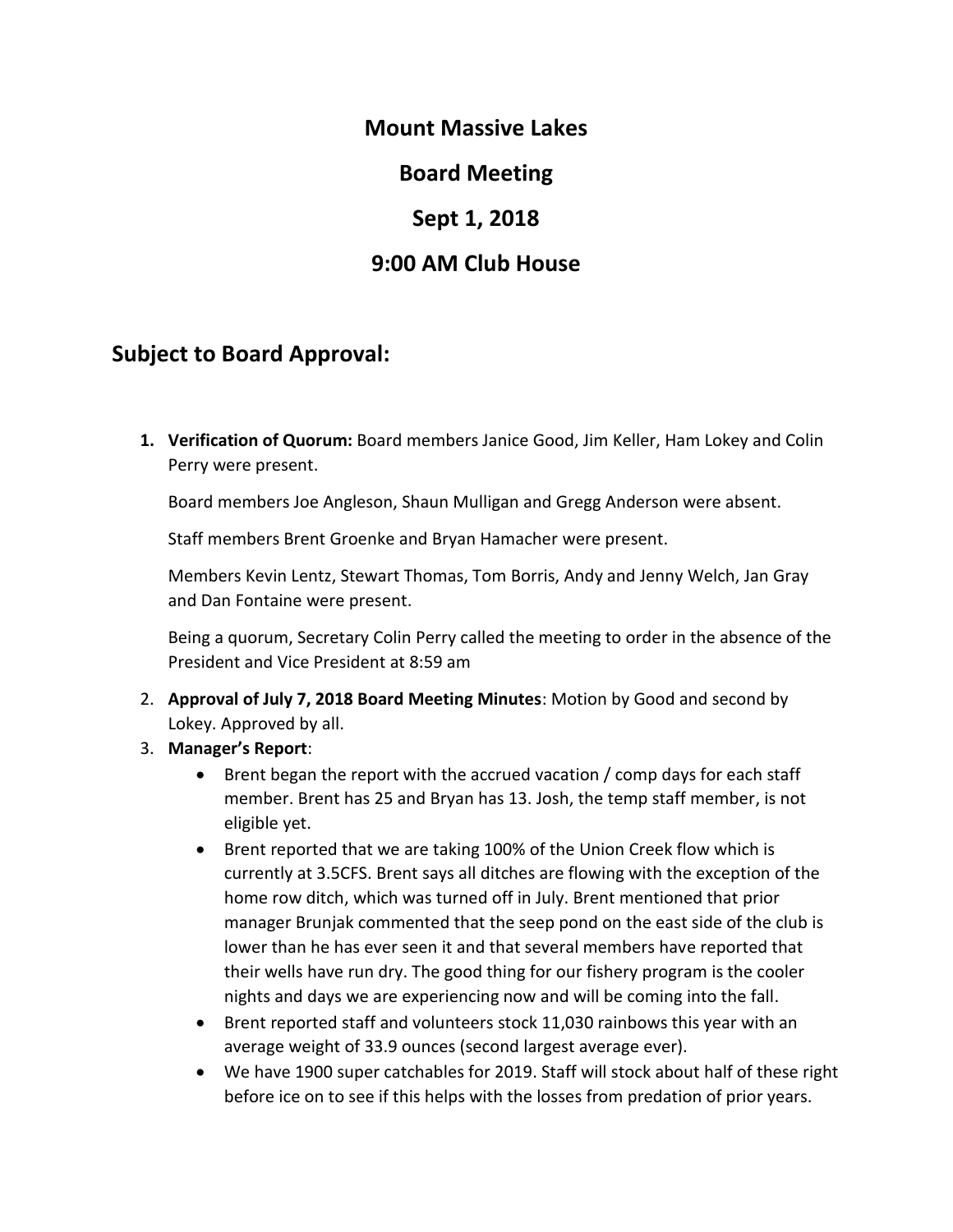### **Mount Massive Lakes**

## **Board Meeting**

## **Sept 1, 2018**

# **9:00 AM Club House**

## **Subject to Board Approval:**

**1. Verification of Quorum:** Board members Janice Good, Jim Keller, Ham Lokey and Colin Perry were present.

Board members Joe Angleson, Shaun Mulligan and Gregg Anderson were absent.

Staff members Brent Groenke and Bryan Hamacher were present.

Members Kevin Lentz, Stewart Thomas, Tom Borris, Andy and Jenny Welch, Jan Gray and Dan Fontaine were present.

Being a quorum, Secretary Colin Perry called the meeting to order in the absence of the President and Vice President at 8:59 am

- 2. **Approval of July 7, 2018 Board Meeting Minutes**: Motion by Good and second by Lokey. Approved by all.
- 3. **Manager's Report**:
	- Brent began the report with the accrued vacation / comp days for each staff member. Brent has 25 and Bryan has 13. Josh, the temp staff member, is not eligible yet.
	- Brent reported that we are taking 100% of the Union Creek flow which is currently at 3.5CFS. Brent says all ditches are flowing with the exception of the home row ditch, which was turned off in July. Brent mentioned that prior manager Brunjak commented that the seep pond on the east side of the club is lower than he has ever seen it and that several members have reported that their wells have run dry. The good thing for our fishery program is the cooler nights and days we are experiencing now and will be coming into the fall.
	- Brent reported staff and volunteers stock 11,030 rainbows this year with an average weight of 33.9 ounces (second largest average ever).
	- We have 1900 super catchables for 2019. Staff will stock about half of these right before ice on to see if this helps with the losses from predation of prior years.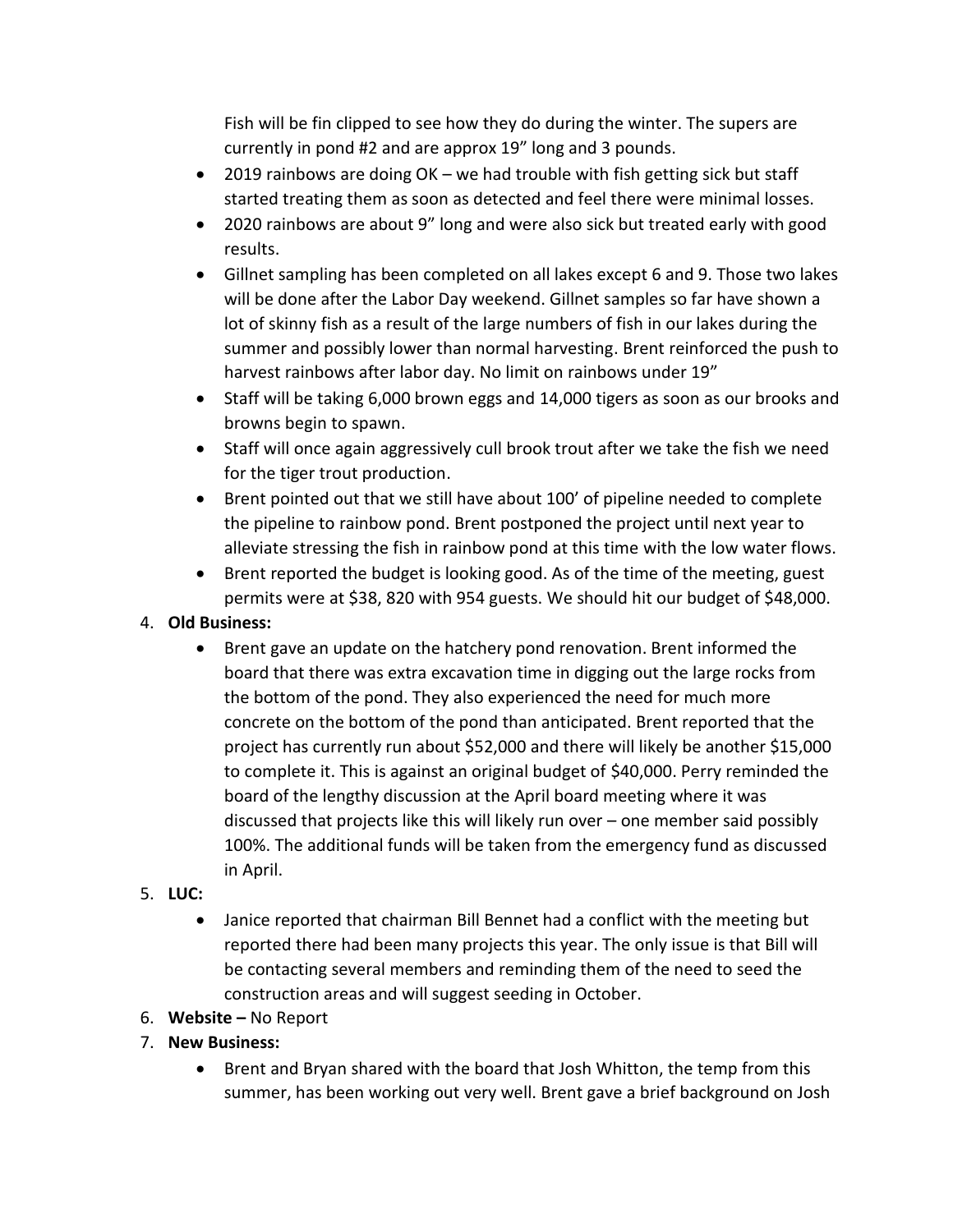Fish will be fin clipped to see how they do during the winter. The supers are currently in pond #2 and are approx 19" long and 3 pounds.

- 2019 rainbows are doing OK we had trouble with fish getting sick but staff started treating them as soon as detected and feel there were minimal losses.
- 2020 rainbows are about 9" long and were also sick but treated early with good results.
- Gillnet sampling has been completed on all lakes except 6 and 9. Those two lakes will be done after the Labor Day weekend. Gillnet samples so far have shown a lot of skinny fish as a result of the large numbers of fish in our lakes during the summer and possibly lower than normal harvesting. Brent reinforced the push to harvest rainbows after labor day. No limit on rainbows under 19"
- Staff will be taking 6,000 brown eggs and 14,000 tigers as soon as our brooks and browns begin to spawn.
- Staff will once again aggressively cull brook trout after we take the fish we need for the tiger trout production.
- Brent pointed out that we still have about 100' of pipeline needed to complete the pipeline to rainbow pond. Brent postponed the project until next year to alleviate stressing the fish in rainbow pond at this time with the low water flows.
- Brent reported the budget is looking good. As of the time of the meeting, guest permits were at \$38, 820 with 954 guests. We should hit our budget of \$48,000.

### 4. **Old Business:**

• Brent gave an update on the hatchery pond renovation. Brent informed the board that there was extra excavation time in digging out the large rocks from the bottom of the pond. They also experienced the need for much more concrete on the bottom of the pond than anticipated. Brent reported that the project has currently run about \$52,000 and there will likely be another \$15,000 to complete it. This is against an original budget of \$40,000. Perry reminded the board of the lengthy discussion at the April board meeting where it was discussed that projects like this will likely run over – one member said possibly 100%. The additional funds will be taken from the emergency fund as discussed in April.

### 5. **LUC:**

- Janice reported that chairman Bill Bennet had a conflict with the meeting but reported there had been many projects this year. The only issue is that Bill will be contacting several members and reminding them of the need to seed the construction areas and will suggest seeding in October.
- 6. **Website –** No Report
- 7. **New Business:**
	- Brent and Bryan shared with the board that Josh Whitton, the temp from this summer, has been working out very well. Brent gave a brief background on Josh